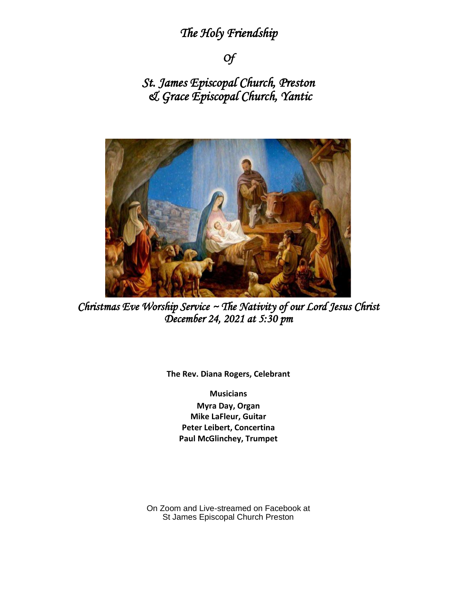# *The Holy Friendship*

*Of* 

 *St. James Episcopal Church, Preston & Grace Episcopal Church, Yantic* 



*Christmas Eve Worship Service ~ The Nativity of our Lord Jesus Christ December 24, 2021 at 5:30 pm* 

**The Rev. Diana Rogers, Celebrant**

**Musicians Myra Day, Organ Mike LaFleur, Guitar Peter Leibert, Concertina Paul McGlinchey, Trumpet**

On Zoom and Live-streamed on Facebook at St James Episcopal Church Preston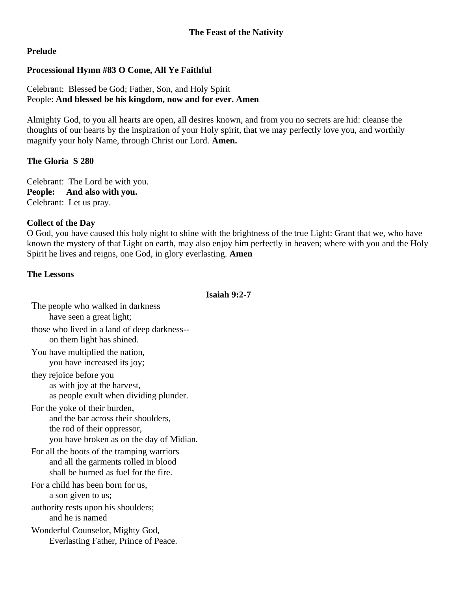# **Prelude**

# **Processional Hymn #83 O Come, All Ye Faithful**

#### Celebrant: Blessed be God; Father, Son, and Holy Spirit People: **And blessed be his kingdom, now and for ever. Amen**

Almighty God, to you all hearts are open, all desires known, and from you no secrets are hid: cleanse the thoughts of our hearts by the inspiration of your Holy spirit, that we may perfectly love you, and worthily magnify your holy Name, through Christ our Lord. **Amen.**

### **The Gloria S 280**

Celebrant: The Lord be with you. **People: And also with you.** Celebrant: Let us pray.

### **Collect of the Day**

O God, you have caused this holy night to shine with the brightness of the true Light: Grant that we, who have known the mystery of that Light on earth, may also enjoy him perfectly in heaven; where with you and the Holy Spirit he lives and reigns, one God, in glory everlasting. **Amen** 

#### **The Lessons**

**Isaiah 9:2-7**

| The people who walked in darkness<br>have seen a great light;                                                                                   |
|-------------------------------------------------------------------------------------------------------------------------------------------------|
| those who lived in a land of deep darkness--<br>on them light has shined.                                                                       |
| You have multiplied the nation,<br>you have increased its joy;                                                                                  |
| they rejoice before you<br>as with joy at the harvest,<br>as people exult when dividing plunder.                                                |
| For the yoke of their burden,<br>and the bar across their shoulders,<br>the rod of their oppressor,<br>you have broken as on the day of Midian. |
| For all the boots of the tramping warriors<br>and all the garments rolled in blood<br>shall be burned as fuel for the fire.                     |
| For a child has been born for us,<br>a son given to us;                                                                                         |
| authority rests upon his shoulders;<br>and he is named                                                                                          |
| Wonderful Counselor, Mighty God,<br>Everlasting Father, Prince of Peace.                                                                        |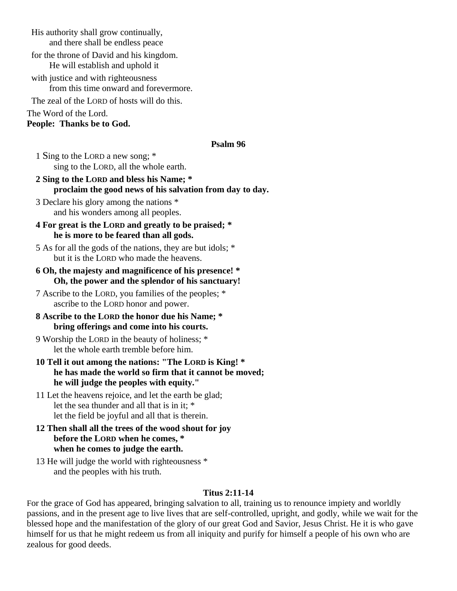His authority shall grow continually, and there shall be endless peace for the throne of David and his kingdom. He will establish and uphold it with justice and with righteousness from this time onward and forevermore. The zeal of the LORD of hosts will do this. The Word of the Lord. **People: Thanks be to God.**

#### **Psalm 96**

1 Sing to the LORD a new song; \* sing to the LORD, all the whole earth.

#### **2 Sing to the LORD and bless his Name; \* proclaim the good news of his salvation from day to day.**

3 Declare his glory among the nations \* and his wonders among all peoples.

#### **4 For great is the LORD and greatly to be praised; \* he is more to be feared than all gods.**

5 As for all the gods of the nations, they are but idols; \* but it is the LORD who made the heavens.

#### **6 Oh, the majesty and magnificence of his presence! \* Oh, the power and the splendor of his sanctuary!**

7 Ascribe to the LORD, you families of the peoples; \* ascribe to the LORD honor and power.

#### **8 Ascribe to the LORD the honor due his Name; \* bring offerings and come into his courts.**

9 Worship the LORD in the beauty of holiness; \* let the whole earth tremble before him.

#### **10 Tell it out among the nations: "The LORD is King! \* he has made the world so firm that it cannot be moved; he will judge the peoples with equity."**

- 11 Let the heavens rejoice, and let the earth be glad; let the sea thunder and all that is in it; \* let the field be joyful and all that is therein.
- **12 Then shall all the trees of the wood shout for joy before the LORD when he comes, \* when he comes to judge the earth.**
- 13 He will judge the world with righteousness \* and the peoples with his truth.

#### **Titus 2:11-14**

For the grace of God has appeared, bringing salvation to all, training us to renounce impiety and worldly passions, and in the present age to live lives that are self-controlled, upright, and godly, while we wait for the blessed hope and the manifestation of the glory of our great God and Savior, Jesus Christ. He it is who gave himself for us that he might redeem us from all iniquity and purify for himself a people of his own who are zealous for good deeds.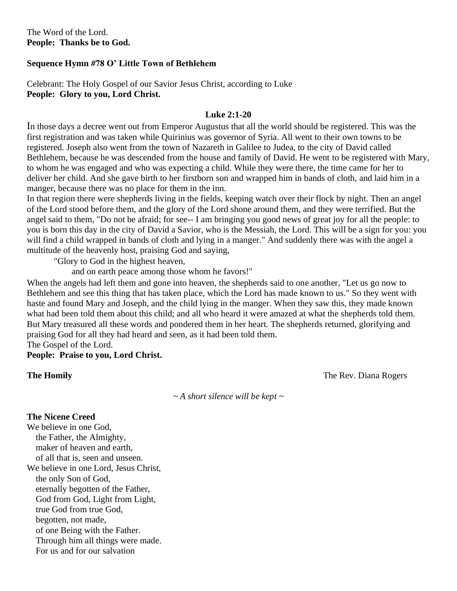#### **Sequence Hymn** *#***78 O' Little Town of Bethlehem**

Celebrant: The Holy Gospel of our Savior Jesus Christ, according to Luke **People: Glory to you, Lord Christ.**

#### **Luke 2:1-20**

In those days a decree went out from Emperor Augustus that all the world should be registered. This was the first registration and was taken while Quirinius was governor of Syria. All went to their own towns to be registered. Joseph also went from the town of Nazareth in Galilee to Judea, to the city of David called Bethlehem, because he was descended from the house and family of David. He went to be registered with Mary, to whom he was engaged and who was expecting a child. While they were there, the time came for her to deliver her child. And she gave birth to her firstborn son and wrapped him in bands of cloth, and laid him in a manger, because there was no place for them in the inn.

In that region there were shepherds living in the fields, keeping watch over their flock by night. Then an angel of the Lord stood before them, and the glory of the Lord shone around them, and they were terrified. But the angel said to them, "Do not be afraid; for see-- I am bringing you good news of great joy for all the people: to you is born this day in the city of David a Savior, who is the Messiah, the Lord. This will be a sign for you: you will find a child wrapped in bands of cloth and lying in a manger." And suddenly there was with the angel a multitude of the heavenly host, praising God and saying,

"Glory to God in the highest heaven,

and on earth peace among those whom he favors!"

When the angels had left them and gone into heaven, the shepherds said to one another, "Let us go now to Bethlehem and see this thing that has taken place, which the Lord has made known to us." So they went with haste and found Mary and Joseph, and the child lying in the manger. When they saw this, they made known what had been told them about this child; and all who heard it were amazed at what the shepherds told them. But Mary treasured all these words and pondered them in her heart. The shepherds returned, glorifying and praising God for all they had heard and seen, as it had been told them. The Gospel of the Lord.

### **People: Praise to you, Lord Christ.**

**The Homily** The Rev. Diana Rogers **The Homily** 2008. The Rev. Diana Rogers **The Homily** 2008. The Rev. Diana Rogers

*~ A short silence will be kept ~*

#### **The Nicene Creed**

We believe in one God, the Father, the Almighty, maker of heaven and earth, of all that is, seen and unseen. We believe in one Lord, Jesus Christ, the only Son of God, eternally begotten of the Father, God from God, Light from Light, true God from true God, begotten, not made, of one Being with the Father. Through him all things were made. For us and for our salvation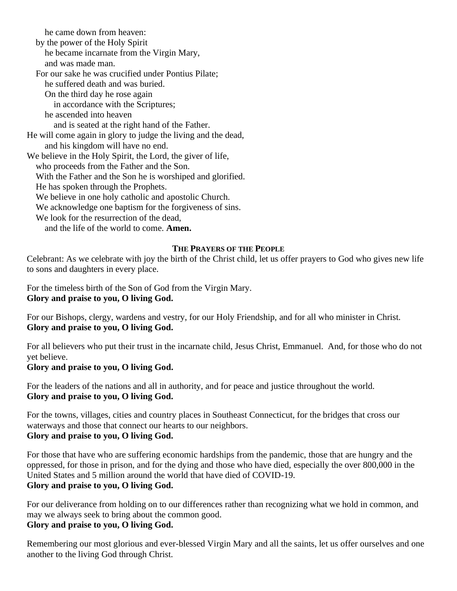he came down from heaven: by the power of the Holy Spirit he became incarnate from the Virgin Mary, and was made man. For our sake he was crucified under Pontius Pilate; he suffered death and was buried. On the third day he rose again in accordance with the Scriptures; he ascended into heaven and is seated at the right hand of the Father. He will come again in glory to judge the living and the dead, and his kingdom will have no end. We believe in the Holy Spirit, the Lord, the giver of life, who proceeds from the Father and the Son. With the Father and the Son he is worshiped and glorified. He has spoken through the Prophets. We believe in one holy catholic and apostolic Church. We acknowledge one baptism for the forgiveness of sins. We look for the resurrection of the dead. and the life of the world to come. **Amen.**

#### **THE PRAYERS OF THE PEOPLE**

Celebrant: As we celebrate with joy the birth of the Christ child, let us offer prayers to God who gives new life to sons and daughters in every place.

For the timeless birth of the Son of God from the Virgin Mary. **Glory and praise to you, O living God.**

For our Bishops, clergy, wardens and vestry, for our Holy Friendship, and for all who minister in Christ. **Glory and praise to you, O living God.** 

For all believers who put their trust in the incarnate child, Jesus Christ, Emmanuel. And, for those who do not yet believe.

#### **Glory and praise to you, O living God.**

For the leaders of the nations and all in authority, and for peace and justice throughout the world. **Glory and praise to you, O living God.** 

For the towns, villages, cities and country places in Southeast Connecticut, for the bridges that cross our waterways and those that connect our hearts to our neighbors. **Glory and praise to you, O living God.**

For those that have who are suffering economic hardships from the pandemic, those that are hungry and the oppressed, for those in prison, and for the dying and those who have died, especially the over 800,000 in the United States and 5 million around the world that have died of COVID-19.

# **Glory and praise to you, O living God.**

For our deliverance from holding on to our differences rather than recognizing what we hold in common, and may we always seek to bring about the common good. **Glory and praise to you, O living God.** 

Remembering our most glorious and ever-blessed Virgin Mary and all the saints, let us offer ourselves and one another to the living God through Christ.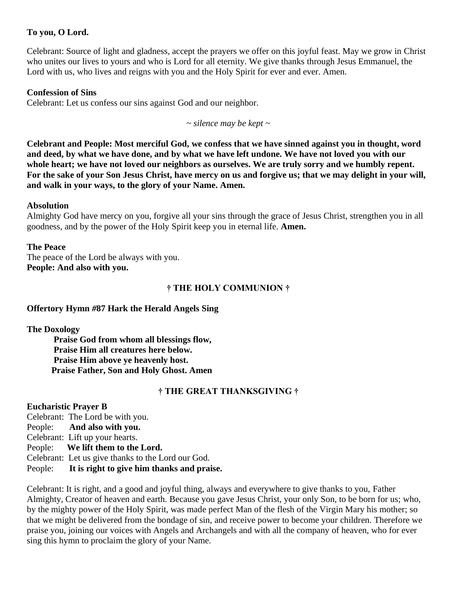## **To you, O Lord.**

Celebrant: Source of light and gladness, accept the prayers we offer on this joyful feast. May we grow in Christ who unites our lives to yours and who is Lord for all eternity. We give thanks through Jesus Emmanuel, the Lord with us, who lives and reigns with you and the Holy Spirit for ever and ever. Amen.

#### **Confession of Sins**

Celebrant: Let us confess our sins against God and our neighbor.

*~ silence may be kept ~*

**Celebrant and People: Most merciful God, we confess that we have sinned against you in thought, word and deed, by what we have done, and by what we have left undone. We have not loved you with our whole heart; we have not loved our neighbors as ourselves. We are truly sorry and we humbly repent. For the sake of your Son Jesus Christ, have mercy on us and forgive us; that we may delight in your will, and walk in your ways, to the glory of your Name. Amen***.*

#### **Absolution**

Almighty God have mercy on you, forgive all your sins through the grace of Jesus Christ, strengthen you in all goodness, and by the power of the Holy Spirit keep you in eternal life. **Amen.**

**The Peace** The peace of the Lord be always with you. **People: And also with you.** 

### **† THE HOLY COMMUNION †**

#### **Offertory Hymn** *#***87 Hark the Herald Angels Sing**

**The Doxology**

**Praise God from whom all blessings flow, Praise Him all creatures here below. Praise Him above ye heavenly host. Praise Father, Son and Holy Ghost. Amen**

### **† THE GREAT THANKSGIVING †**

### **Eucharistic Prayer B**

Celebrant: The Lord be with you. People: **And also with you.** Celebrant: Lift up your hearts. People: **We lift them to the Lord.** Celebrant: Let us give thanks to the Lord our God. People: **It is right to give him thanks and praise.**

Celebrant: It is right, and a good and joyful thing, always and everywhere to give thanks to you, Father Almighty, Creator of heaven and earth. Because you gave Jesus Christ, your only Son, to be born for us; who, by the mighty power of the Holy Spirit, was made perfect Man of the flesh of the Virgin Mary his mother; so that we might be delivered from the bondage of sin, and receive power to become your children. Therefore we praise you, joining our voices with Angels and Archangels and with all the company of heaven, who for ever sing this hymn to proclaim the glory of your Name.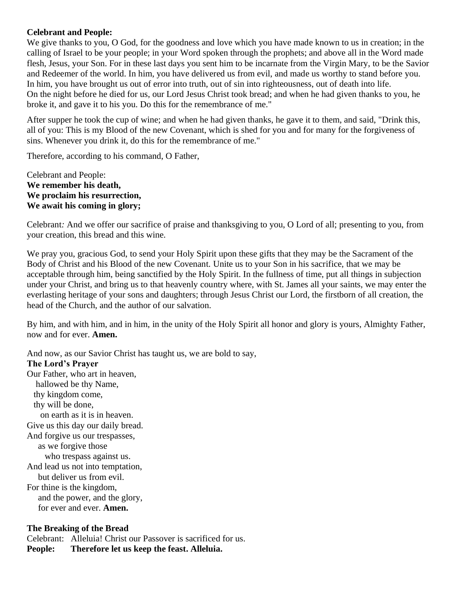#### **Celebrant and People:**

We give thanks to you, O God, for the goodness and love which you have made known to us in creation; in the calling of Israel to be your people; in your Word spoken through the prophets; and above all in the Word made flesh, Jesus, your Son. For in these last days you sent him to be incarnate from the Virgin Mary, to be the Savior and Redeemer of the world. In him, you have delivered us from evil, and made us worthy to stand before you. In him, you have brought us out of error into truth, out of sin into righteousness, out of death into life. On the night before he died for us, our Lord Jesus Christ took bread; and when he had given thanks to you, he broke it, and gave it to his you. Do this for the remembrance of me."

After supper he took the cup of wine; and when he had given thanks, he gave it to them, and said, "Drink this, all of you: This is my Blood of the new Covenant, which is shed for you and for many for the forgiveness of sins. Whenever you drink it, do this for the remembrance of me."

Therefore, according to his command, O Father,

Celebrant and People: **We remember his death, We proclaim his resurrection, We await his coming in glory;**

Celebrant*:* And we offer our sacrifice of praise and thanksgiving to you, O Lord of all; presenting to you, from your creation, this bread and this wine.

We pray you, gracious God, to send your Holy Spirit upon these gifts that they may be the Sacrament of the Body of Christ and his Blood of the new Covenant. Unite us to your Son in his sacrifice, that we may be acceptable through him, being sanctified by the Holy Spirit. In the fullness of time, put all things in subjection under your Christ, and bring us to that heavenly country where, with St. James all your saints, we may enter the everlasting heritage of your sons and daughters; through Jesus Christ our Lord, the firstborn of all creation, the head of the Church, and the author of our salvation.

By him, and with him, and in him, in the unity of the Holy Spirit all honor and glory is yours, Almighty Father, now and for ever. **Amen.**

And now, as our Savior Christ has taught us, we are bold to say, **The Lord's Prayer**  Our Father, who art in heaven, hallowed be thy Name, thy kingdom come, thy will be done, on earth as it is in heaven. Give us this day our daily bread. And forgive us our trespasses, as we forgive those who trespass against us. And lead us not into temptation, but deliver us from evil. For thine is the kingdom, and the power, and the glory, for ever and ever. **Amen.**

#### **The Breaking of the Bread**

Celebrant: Alleluia! Christ our Passover is sacrificed for us. **People: Therefore let us keep the feast. Alleluia.**